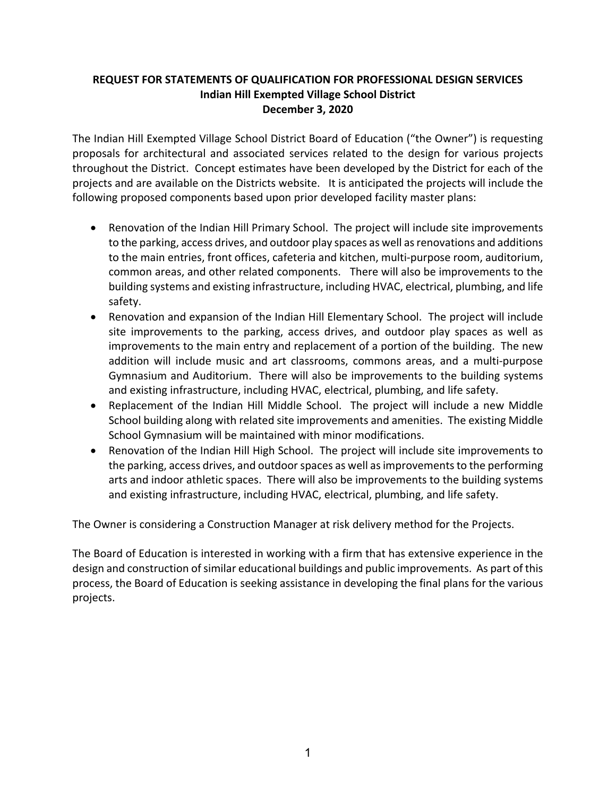## **REQUEST FOR STATEMENTS OF QUALIFICATION FOR PROFESSIONAL DESIGN SERVICES Indian Hill Exempted Village School District December 3, 2020**

The Indian Hill Exempted Village School District Board of Education ("the Owner") is requesting proposals for architectural and associated services related to the design for various projects throughout the District. Concept estimates have been developed by the District for each of the projects and are available on the Districts website. It is anticipated the projects will include the following proposed components based upon prior developed facility master plans:

- Renovation of the Indian Hill Primary School. The project will include site improvements to the parking, access drives, and outdoor play spaces as well as renovations and additions to the main entries, front offices, cafeteria and kitchen, multi‐purpose room, auditorium, common areas, and other related components. There will also be improvements to the building systems and existing infrastructure, including HVAC, electrical, plumbing, and life safety.
- Renovation and expansion of the Indian Hill Elementary School. The project will include site improvements to the parking, access drives, and outdoor play spaces as well as improvements to the main entry and replacement of a portion of the building. The new addition will include music and art classrooms, commons areas, and a multi‐purpose Gymnasium and Auditorium. There will also be improvements to the building systems and existing infrastructure, including HVAC, electrical, plumbing, and life safety.
- Replacement of the Indian Hill Middle School. The project will include a new Middle School building along with related site improvements and amenities. The existing Middle School Gymnasium will be maintained with minor modifications.
- Renovation of the Indian Hill High School. The project will include site improvements to the parking, access drives, and outdoor spaces as well as improvements to the performing arts and indoor athletic spaces. There will also be improvements to the building systems and existing infrastructure, including HVAC, electrical, plumbing, and life safety.

The Owner is considering a Construction Manager at risk delivery method for the Projects.

The Board of Education is interested in working with a firm that has extensive experience in the design and construction of similar educational buildings and public improvements. As part of this process, the Board of Education is seeking assistance in developing the final plans for the various projects.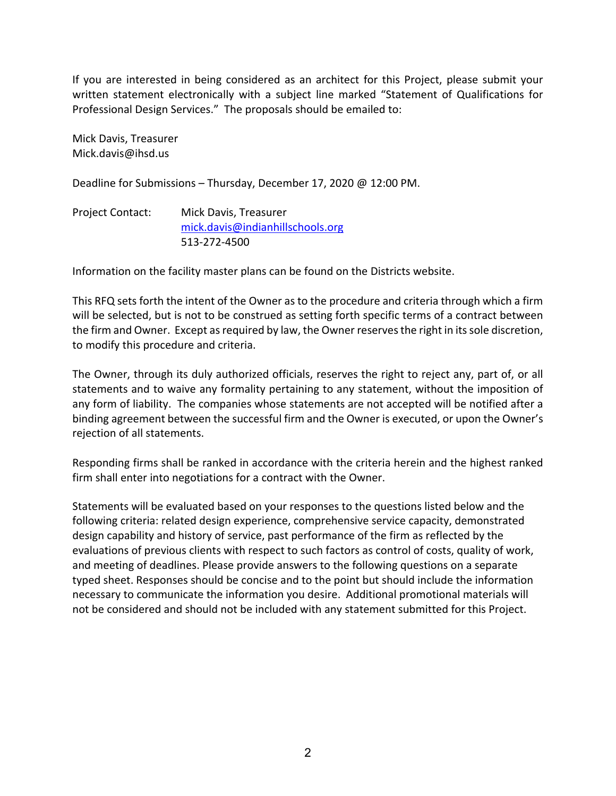If you are interested in being considered as an architect for this Project, please submit your written statement electronically with a subject line marked "Statement of Qualifications for Professional Design Services." The proposals should be emailed to:

Mick Davis, Treasurer Mick.davis@ihsd.us

Deadline for Submissions – Thursday, December 17, 2020 @ 12:00 PM.

| <b>Project Contact:</b> | Mick Davis, Treasurer            |
|-------------------------|----------------------------------|
|                         | mick.davis@indianhillschools.org |
|                         | 513-272-4500                     |

Information on the facility master plans can be found on the Districts website.

This RFQ sets forth the intent of the Owner as to the procedure and criteria through which a firm will be selected, but is not to be construed as setting forth specific terms of a contract between the firm and Owner. Except as required by law, the Owner reserves the right in its sole discretion, to modify this procedure and criteria.

The Owner, through its duly authorized officials, reserves the right to reject any, part of, or all statements and to waive any formality pertaining to any statement, without the imposition of any form of liability. The companies whose statements are not accepted will be notified after a binding agreement between the successful firm and the Owner is executed, or upon the Owner's rejection of all statements.

Responding firms shall be ranked in accordance with the criteria herein and the highest ranked firm shall enter into negotiations for a contract with the Owner.

Statements will be evaluated based on your responses to the questions listed below and the following criteria: related design experience, comprehensive service capacity, demonstrated design capability and history of service, past performance of the firm as reflected by the evaluations of previous clients with respect to such factors as control of costs, quality of work, and meeting of deadlines. Please provide answers to the following questions on a separate typed sheet. Responses should be concise and to the point but should include the information necessary to communicate the information you desire. Additional promotional materials will not be considered and should not be included with any statement submitted for this Project.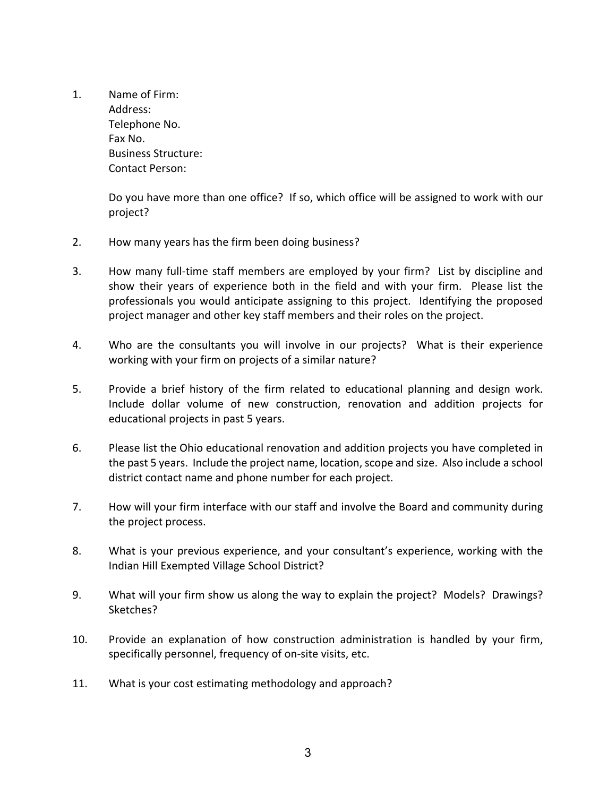1. Name of Firm: Address: Telephone No. Fax No. Business Structure: Contact Person:

> Do you have more than one office? If so, which office will be assigned to work with our project?

- 2. How many years has the firm been doing business?
- 3. How many full‐time staff members are employed by your firm? List by discipline and show their years of experience both in the field and with your firm. Please list the professionals you would anticipate assigning to this project. Identifying the proposed project manager and other key staff members and their roles on the project.
- 4. Who are the consultants you will involve in our projects? What is their experience working with your firm on projects of a similar nature?
- 5. Provide a brief history of the firm related to educational planning and design work. Include dollar volume of new construction, renovation and addition projects for educational projects in past 5 years.
- 6. Please list the Ohio educational renovation and addition projects you have completed in the past 5 years. Include the project name, location, scope and size. Also include a school district contact name and phone number for each project.
- 7. How will your firm interface with our staff and involve the Board and community during the project process.
- 8. What is your previous experience, and your consultant's experience, working with the Indian Hill Exempted Village School District?
- 9. What will your firm show us along the way to explain the project? Models? Drawings? Sketches?
- 10. Provide an explanation of how construction administration is handled by your firm, specifically personnel, frequency of on‐site visits, etc.
- 11. What is your cost estimating methodology and approach?